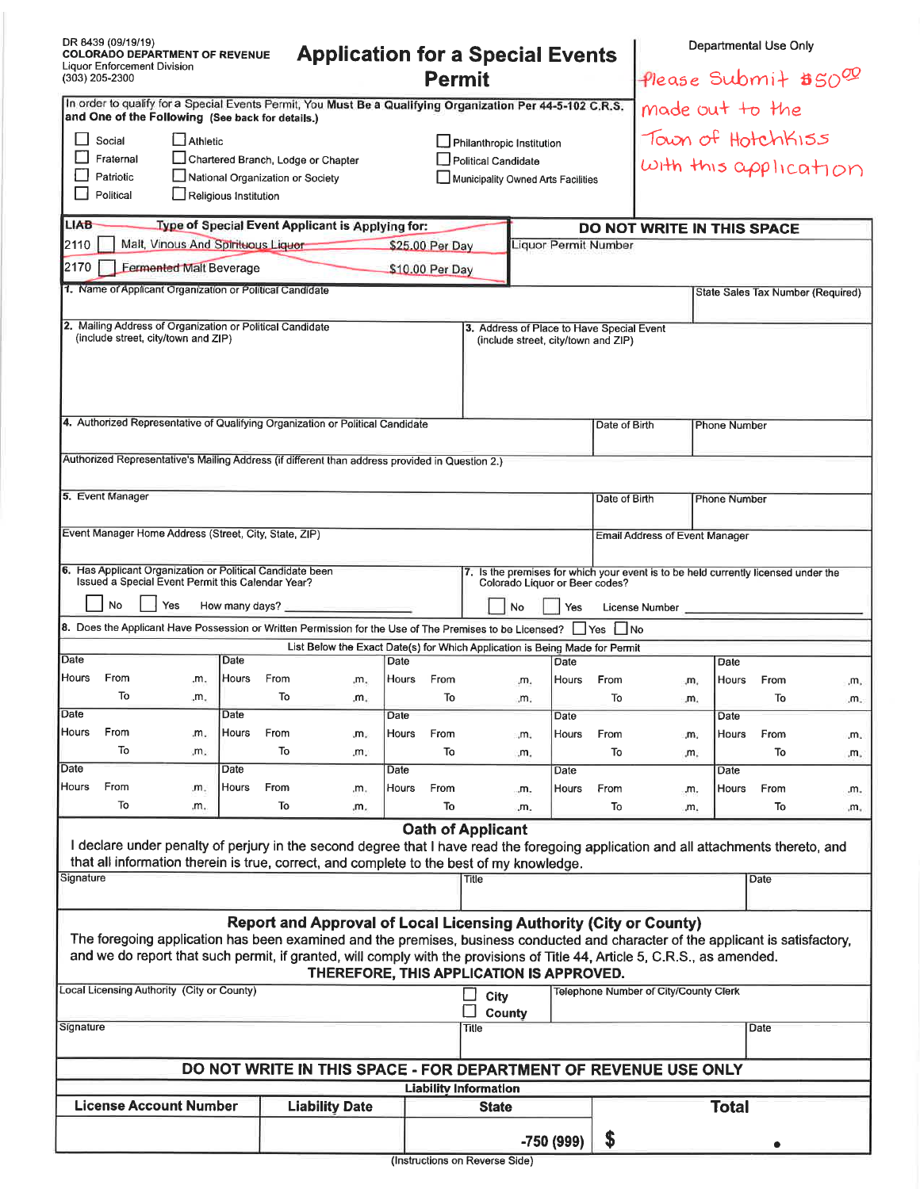| DR 8439 (09/19/19)<br><b>Application for a Special Events</b><br><b>COLORADO DEPARTMENT OF REVENUE</b><br><b>Liquor Enforcement Division</b><br><b>Permit</b><br>(303) 205-2300                                                                                                                                                                                                        |                                                                                                                                                                                                                                                             |                                |               |            |           |               |                  |                              |                                            |                                | Departmental Use Only<br>Please Submit $$50^{\circledR}$ |                 |               |  |                                                                                    |                  |
|----------------------------------------------------------------------------------------------------------------------------------------------------------------------------------------------------------------------------------------------------------------------------------------------------------------------------------------------------------------------------------------|-------------------------------------------------------------------------------------------------------------------------------------------------------------------------------------------------------------------------------------------------------------|--------------------------------|---------------|------------|-----------|---------------|------------------|------------------------------|--------------------------------------------|--------------------------------|----------------------------------------------------------|-----------------|---------------|--|------------------------------------------------------------------------------------|------------------|
| In order to qualify for a Special Events Permit, You Must Be a Qualifying Organization Per 44-5-102 C.R.S.                                                                                                                                                                                                                                                                             |                                                                                                                                                                                                                                                             |                                |               |            |           |               |                  |                              |                                            |                                |                                                          | made out to the |               |  |                                                                                    |                  |
| and One of the Following (See back for details.)<br>$\Box$ Athletic<br>Social<br>Philanthropic Institution<br>Fraternal<br>Chartered Branch, Lodge or Chapter<br>Political Candidate<br>Patriotic<br>National Organization or Society<br>Municipality Owned Arts Facilities<br>n 1<br>Political<br>$\Box$ Religious Institution                                                        |                                                                                                                                                                                                                                                             |                                |               |            |           |               |                  |                              | Town of HotchKISS<br>with this application |                                |                                                          |                 |               |  |                                                                                    |                  |
| LIAB-                                                                                                                                                                                                                                                                                                                                                                                  | Type of Special Event Applicant is Applying for:<br>DO NOT WRITE IN THIS SPACE<br>Malt, Vinous And Spirituous Liquor-<br>Liquor Permit Number                                                                                                               |                                |               |            |           |               |                  |                              |                                            |                                |                                                          |                 |               |  |                                                                                    |                  |
| 2110                                                                                                                                                                                                                                                                                                                                                                                   |                                                                                                                                                                                                                                                             |                                |               |            |           |               | \$25.00 Per Day  |                              |                                            |                                |                                                          |                 |               |  |                                                                                    |                  |
| 2170                                                                                                                                                                                                                                                                                                                                                                                   | 1. Name of Applicant Organization or Political Candidate                                                                                                                                                                                                    | <b>Eermented Malt Beverage</b> |               |            |           |               | \$10.00 Per Day  |                              |                                            |                                |                                                          |                 |               |  |                                                                                    |                  |
|                                                                                                                                                                                                                                                                                                                                                                                        |                                                                                                                                                                                                                                                             |                                |               |            |           |               |                  |                              |                                            |                                |                                                          |                 |               |  | State Sales Tax Number (Required)                                                  |                  |
| 2. Mailing Address of Organization or Political Candidate<br>3. Address of Place to Have Special Event<br>(include street, city/town and ZIP)<br>(include street, city/town and ZIP)                                                                                                                                                                                                   |                                                                                                                                                                                                                                                             |                                |               |            |           |               |                  |                              |                                            |                                |                                                          |                 |               |  |                                                                                    |                  |
| 4. Authorized Representative of Qualifying Organization or Political Candidate<br>Date of Birth                                                                                                                                                                                                                                                                                        |                                                                                                                                                                                                                                                             |                                |               |            |           |               |                  |                              |                                            | <b>Phone Number</b>            |                                                          |                 |               |  |                                                                                    |                  |
| Authorized Representative's Mailing Address (if different than address provided in Question 2.)                                                                                                                                                                                                                                                                                        |                                                                                                                                                                                                                                                             |                                |               |            |           |               |                  |                              |                                            |                                |                                                          |                 |               |  |                                                                                    |                  |
| 5. Event Manager<br>Date of Birth<br><b>Phone Number</b>                                                                                                                                                                                                                                                                                                                               |                                                                                                                                                                                                                                                             |                                |               |            |           |               |                  |                              |                                            |                                |                                                          |                 |               |  |                                                                                    |                  |
| Event Manager Home Address (Street, City, State, ZIP)<br><b>Email Address of Event Manager</b>                                                                                                                                                                                                                                                                                         |                                                                                                                                                                                                                                                             |                                |               |            |           |               |                  |                              |                                            |                                |                                                          |                 |               |  |                                                                                    |                  |
|                                                                                                                                                                                                                                                                                                                                                                                        | 6. Has Applicant Organization or Political Candidate been<br>Issued a Special Event Permit this Calendar Year?<br><b>No</b>                                                                                                                                 | Yes                            |               |            |           |               |                  |                              | No                                         | Colorado Liquor or Beer codes? |                                                          |                 |               |  | 7. Is the premises for which your event is to be held currently licensed under the |                  |
| How many days?<br>Yes<br>License Number<br>8. Does the Applicant Have Possession or Written Permission for the Use of The Premises to be Licensed? No Mo                                                                                                                                                                                                                               |                                                                                                                                                                                                                                                             |                                |               |            |           |               |                  |                              |                                            |                                |                                                          |                 |               |  |                                                                                    |                  |
| List Below the Exact Date(s) for Which Application is Being Made for Permit                                                                                                                                                                                                                                                                                                            |                                                                                                                                                                                                                                                             |                                |               |            |           |               |                  |                              |                                            |                                |                                                          |                 |               |  |                                                                                    |                  |
| Date<br><b>Hours</b>                                                                                                                                                                                                                                                                                                                                                                   | From                                                                                                                                                                                                                                                        | .m.                            | Date<br>Hours | From       | .m.       | Date<br>Hours | From             |                              | .m.                                        | Date<br>Hours                  | From                                                     | ιm,             | Date<br>Hours |  | From                                                                               | .m <sub>11</sub> |
|                                                                                                                                                                                                                                                                                                                                                                                        | To                                                                                                                                                                                                                                                          | .m.                            |               | To         | .m.       |               | To               |                              | "m.                                        |                                | То                                                       | .m.             |               |  | То                                                                                 | .m.              |
| Date                                                                                                                                                                                                                                                                                                                                                                                   |                                                                                                                                                                                                                                                             |                                | Date          |            |           | Date          |                  |                              |                                            | Date                           |                                                          |                 | Date          |  |                                                                                    |                  |
| Hours                                                                                                                                                                                                                                                                                                                                                                                  | From<br>To                                                                                                                                                                                                                                                  | .m.<br>.m.                     | Hours         | From<br>To | m.<br>.m. | Hours         | From<br>To       |                              | "m.<br>.m.                                 | Hours                          | From<br>To                                               | m,<br>.m.       | Hours         |  | From<br>To                                                                         | .m.              |
| Date                                                                                                                                                                                                                                                                                                                                                                                   |                                                                                                                                                                                                                                                             |                                | Date          |            |           | Date          |                  |                              |                                            | Date                           |                                                          |                 | Date          |  |                                                                                    | m.               |
| Hours                                                                                                                                                                                                                                                                                                                                                                                  | From                                                                                                                                                                                                                                                        | .m.                            | Hours         | From       | .m.       | Hours         | From             |                              | "m.                                        | Hours                          | From                                                     | "m.             | Hours         |  | From                                                                               | m.               |
|                                                                                                                                                                                                                                                                                                                                                                                        | To                                                                                                                                                                                                                                                          | .m.                            |               | To         | .m.       |               | To               |                              | .m.                                        |                                | To                                                       | m.              |               |  | To                                                                                 | ۰m.              |
|                                                                                                                                                                                                                                                                                                                                                                                        | <b>Oath of Applicant</b><br>I declare under penalty of perjury in the second degree that I have read the foregoing application and all attachments thereto, and<br>that all information therein is true, correct, and complete to the best of my knowledge. |                                |               |            |           |               |                  |                              |                                            |                                |                                                          |                 |               |  |                                                                                    |                  |
| Signature                                                                                                                                                                                                                                                                                                                                                                              |                                                                                                                                                                                                                                                             |                                |               |            |           |               |                  | Title                        |                                            |                                |                                                          |                 |               |  | Date                                                                               |                  |
| <b>Report and Approval of Local Licensing Authority (City or County)</b><br>The foregoing application has been examined and the premises, business conducted and character of the applicant is satisfactory,<br>and we do report that such permit, if granted, will comply with the provisions of Title 44, Article 5, C.R.S., as amended.<br>THEREFORE, THIS APPLICATION IS APPROVED. |                                                                                                                                                                                                                                                             |                                |               |            |           |               |                  |                              |                                            |                                |                                                          |                 |               |  |                                                                                    |                  |
| Local Licensing Authority (City or County)<br>Telephone Number of City/County Clerk<br>∐<br>City<br><b>County</b>                                                                                                                                                                                                                                                                      |                                                                                                                                                                                                                                                             |                                |               |            |           |               |                  |                              |                                            |                                |                                                          |                 |               |  |                                                                                    |                  |
| Signature                                                                                                                                                                                                                                                                                                                                                                              |                                                                                                                                                                                                                                                             |                                |               |            |           |               |                  | <b>Title</b>                 |                                            |                                |                                                          |                 | Date          |  |                                                                                    |                  |
| DO NOT WRITE IN THIS SPACE - FOR DEPARTMENT OF REVENUE USE ONLY                                                                                                                                                                                                                                                                                                                        |                                                                                                                                                                                                                                                             |                                |               |            |           |               |                  |                              |                                            |                                |                                                          |                 |               |  |                                                                                    |                  |
|                                                                                                                                                                                                                                                                                                                                                                                        |                                                                                                                                                                                                                                                             |                                |               |            |           |               |                  | <b>Liability Information</b> |                                            |                                |                                                          |                 |               |  |                                                                                    |                  |
| <b>License Account Number</b><br><b>Liability Date</b>                                                                                                                                                                                                                                                                                                                                 |                                                                                                                                                                                                                                                             |                                |               |            |           |               | <b>State</b>     |                              |                                            |                                |                                                          | <b>Total</b>    |               |  |                                                                                    |                  |
|                                                                                                                                                                                                                                                                                                                                                                                        |                                                                                                                                                                                                                                                             |                                |               |            |           |               | \$<br>-750 (999) |                              |                                            |                                |                                                          |                 |               |  |                                                                                    |                  |